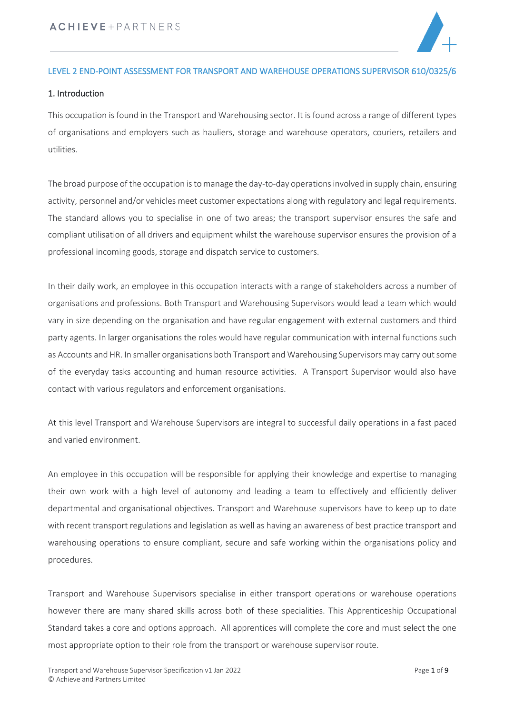

#### LEVEL 2 END-POINT ASSESSMENT FOR TRANSPORT AND WAREHOUSE OPERATIONS SUPERVISOR 610/0325/6

#### 1. Introduction

This occupation is found in the Transport and Warehousing sector. It is found across a range of different types of organisations and employers such as hauliers, storage and warehouse operators, couriers, retailers and utilities.

The broad purpose of the occupation isto manage the day-to-day operations involved in supply chain, ensuring activity, personnel and/or vehicles meet customer expectations along with regulatory and legal requirements. The standard allows you to specialise in one of two areas; the transport supervisor ensures the safe and compliant utilisation of all drivers and equipment whilst the warehouse supervisor ensures the provision of a professional incoming goods, storage and dispatch service to customers.

In their daily work, an employee in this occupation interacts with a range of stakeholders across a number of organisations and professions. Both Transport and Warehousing Supervisors would lead a team which would vary in size depending on the organisation and have regular engagement with external customers and third party agents. In larger organisations the roles would have regular communication with internal functions such as Accounts and HR. In smaller organisations both Transport and Warehousing Supervisors may carry out some of the everyday tasks accounting and human resource activities. A Transport Supervisor would also have contact with various regulators and enforcement organisations.

At this level Transport and Warehouse Supervisors are integral to successful daily operations in a fast paced and varied environment.

An employee in this occupation will be responsible for applying their knowledge and expertise to managing their own work with a high level of autonomy and leading a team to effectively and efficiently deliver departmental and organisational objectives. Transport and Warehouse supervisors have to keep up to date with recent transport regulations and legislation as well as having an awareness of best practice transport and warehousing operations to ensure compliant, secure and safe working within the organisations policy and procedures.

Transport and Warehouse Supervisors specialise in either transport operations or warehouse operations however there are many shared skills across both of these specialities. This Apprenticeship Occupational Standard takes a core and options approach. All apprentices will complete the core and must select the one most appropriate option to their role from the transport or warehouse supervisor route.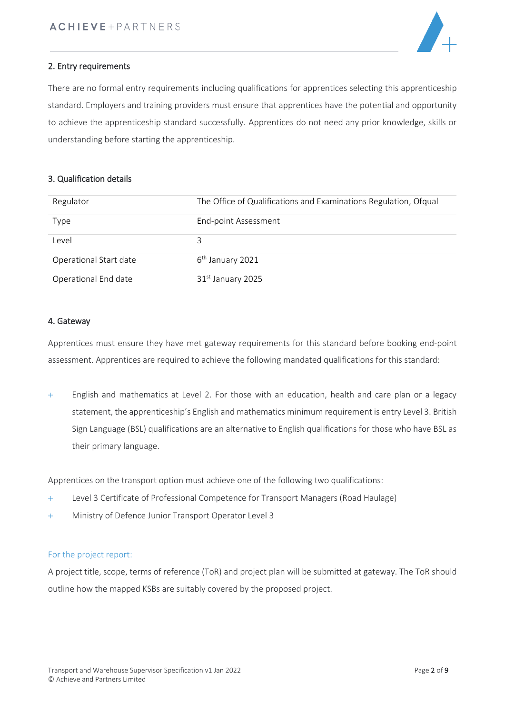

#### 2. Entry requirements

There are no formal entry requirements including qualifications for apprentices selecting this apprenticeship standard. Employers and training providers must ensure that apprentices have the potential and opportunity to achieve the apprenticeship standard successfully. Apprentices do not need any prior knowledge, skills or understanding before starting the apprenticeship.

#### 3. Qualification details

| Regulator              | The Office of Qualifications and Examinations Regulation, Ofqual |
|------------------------|------------------------------------------------------------------|
| Type                   | End-point Assessment                                             |
| Level                  | 3                                                                |
| Operational Start date | $6th$ January 2021                                               |
| Operational End date   | 31 <sup>st</sup> January 2025                                    |

#### 4. Gateway

Apprentices must ensure they have met gateway requirements for this standard before booking end-point assessment. Apprentices are required to achieve the following mandated qualifications for this standard:

+ English and mathematics at Level 2. For those with an education, health and care plan or a legacy statement, the apprenticeship's English and mathematics minimum requirement is entry Level 3. British Sign Language (BSL) qualifications are an alternative to English qualifications for those who have BSL as their primary language.

Apprentices on the transport option must achieve one of the following two qualifications:

- + Level 3 Certificate of Professional Competence for Transport Managers (Road Haulage)
- + Ministry of Defence Junior Transport Operator Level 3

#### For the project report:

A project title, scope, terms of reference (ToR) and project plan will be submitted at gateway. The ToR should outline how the mapped KSBs are suitably covered by the proposed project.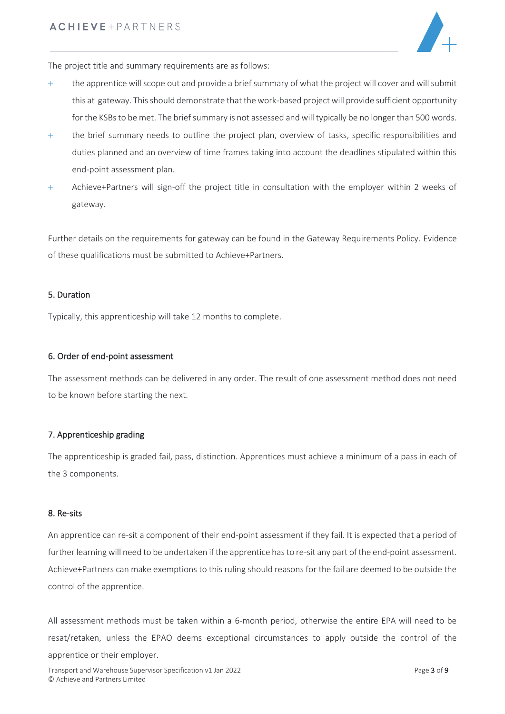

The project title and summary requirements are as follows:

- $+$  the apprentice will scope out and provide a brief summary of what the project will cover and will submit this at gateway. This should demonstrate that the work-based project will provide sufficient opportunity for the KSBs to be met. The brief summary is not assessed and will typically be no longer than 500 words.
- + the brief summary needs to outline the project plan, overview of tasks, specific responsibilities and duties planned and an overview of time frames taking into account the deadlines stipulated within this end-point assessment plan.
- + Achieve+Partners will sign-off the project title in consultation with the employer within 2 weeks of gateway.

Further details on the requirements for gateway can be found in the Gateway Requirements Policy. Evidence of these qualifications must be submitted to Achieve+Partners.

#### 5. Duration

Typically, this apprenticeship will take 12 months to complete.

#### 6. Order of end-point assessment

The assessment methods can be delivered in any order. The result of one assessment method does not need to be known before starting the next.

#### 7. Apprenticeship grading

The apprenticeship is graded fail, pass, distinction. Apprentices must achieve a minimum of a pass in each of the 3 components.

#### 8. Re-sits

An apprentice can re-sit a component of their end-point assessment if they fail. It is expected that a period of further learning will need to be undertaken if the apprentice has to re-sit any part of the end-point assessment. Achieve+Partners can make exemptions to this ruling should reasons for the fail are deemed to be outside the control of the apprentice.

All assessment methods must be taken within a 6-month period, otherwise the entire EPA will need to be resat/retaken, unless the EPAO deems exceptional circumstances to apply outside the control of the apprentice or their employer.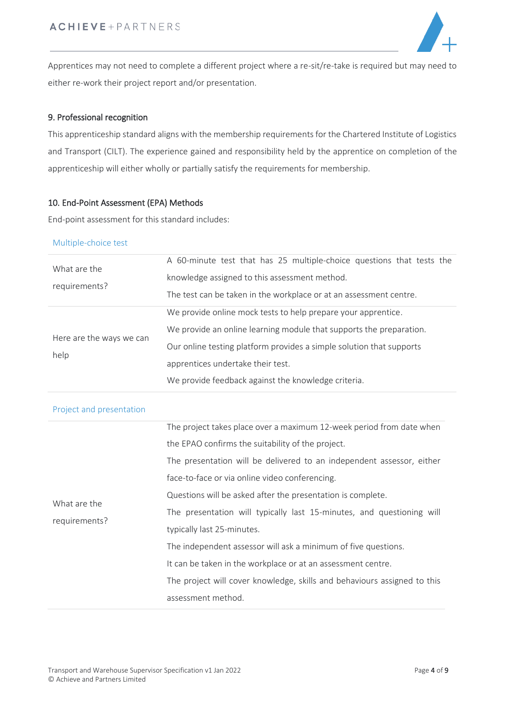

Apprentices may not need to complete a different project where a re-sit/re-take is required but may need to either re-work their project report and/or presentation.

#### 9. Professional recognition

This apprenticeship standard aligns with the membership requirements for the Chartered Institute of Logistics and Transport (CILT). The experience gained and responsibility held by the apprentice on completion of the apprenticeship will either wholly or partially satisfy the requirements for membership.

#### 10. End-Point Assessment (EPA) Methods

End-point assessment for this standard includes:

#### Multiple-choice test

| What are the<br>requirements?    | A 60-minute test that has 25 multiple-choice questions that tests the<br>knowledge assigned to this assessment method.<br>The test can be taken in the workplace or at an assessment centre.                                                                                                                                                                                                                                                                                                                                                                                                                                             |
|----------------------------------|------------------------------------------------------------------------------------------------------------------------------------------------------------------------------------------------------------------------------------------------------------------------------------------------------------------------------------------------------------------------------------------------------------------------------------------------------------------------------------------------------------------------------------------------------------------------------------------------------------------------------------------|
| Here are the ways we can<br>help | We provide online mock tests to help prepare your apprentice.<br>We provide an online learning module that supports the preparation.<br>Our online testing platform provides a simple solution that supports<br>apprentices undertake their test.<br>We provide feedback against the knowledge criteria.                                                                                                                                                                                                                                                                                                                                 |
| Project and presentation         |                                                                                                                                                                                                                                                                                                                                                                                                                                                                                                                                                                                                                                          |
| What are the<br>requirements?    | The project takes place over a maximum 12-week period from date when<br>the EPAO confirms the suitability of the project.<br>The presentation will be delivered to an independent assessor, either<br>face-to-face or via online video conferencing.<br>Questions will be asked after the presentation is complete.<br>The presentation will typically last 15-minutes, and questioning will<br>typically last 25-minutes.<br>The independent assessor will ask a minimum of five questions.<br>It can be taken in the workplace or at an assessment centre.<br>The project will cover knowledge, skills and behaviours assigned to this |

assessment method.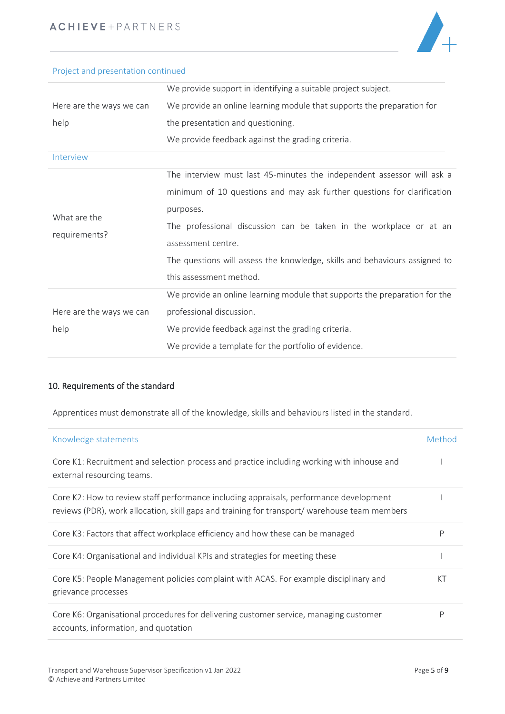

## Project and presentation continued

|                               | We provide support in identifying a suitable project subject.              |
|-------------------------------|----------------------------------------------------------------------------|
| Here are the ways we can      | We provide an online learning module that supports the preparation for     |
| help                          | the presentation and questioning.                                          |
|                               | We provide feedback against the grading criteria.                          |
| Interview                     |                                                                            |
| What are the<br>requirements? | The interview must last 45-minutes the independent assessor will ask a     |
|                               | minimum of 10 questions and may ask further questions for clarification    |
|                               | purposes.                                                                  |
|                               | The professional discussion can be taken in the workplace or at an         |
|                               | assessment centre.                                                         |
|                               | The questions will assess the knowledge, skills and behaviours assigned to |
|                               | this assessment method.                                                    |
|                               | We provide an online learning module that supports the preparation for the |
| Here are the ways we can      | professional discussion.                                                   |
| help                          | We provide feedback against the grading criteria.                          |
|                               | We provide a template for the portfolio of evidence.                       |

## 10. Requirements of the standard

Apprentices must demonstrate all of the knowledge, skills and behaviours listed in the standard.

| Knowledge statements                                                                                                                                                                    | Method |
|-----------------------------------------------------------------------------------------------------------------------------------------------------------------------------------------|--------|
| Core K1: Recruitment and selection process and practice including working with inhouse and<br>external resourcing teams.                                                                |        |
| Core K2: How to review staff performance including appraisals, performance development<br>reviews (PDR), work allocation, skill gaps and training for transport/ warehouse team members |        |
| Core K3: Factors that affect workplace efficiency and how these can be managed                                                                                                          | P      |
| Core K4: Organisational and individual KPIs and strategies for meeting these                                                                                                            |        |
| Core K5: People Management policies complaint with ACAS. For example disciplinary and<br>grievance processes                                                                            | КT     |
| Core K6: Organisational procedures for delivering customer service, managing customer<br>accounts, information, and quotation                                                           | Р      |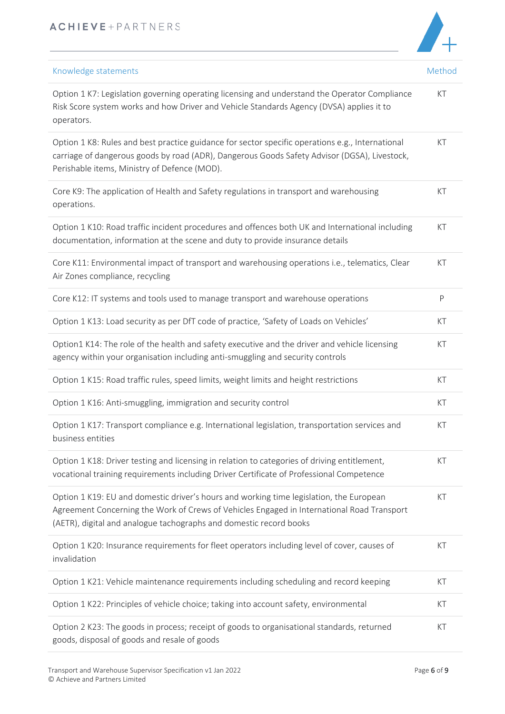# $\overline{\phantom{0}}$

| Knowledge statements                                                                                                                                                                                                                                        | Method |
|-------------------------------------------------------------------------------------------------------------------------------------------------------------------------------------------------------------------------------------------------------------|--------|
| Option 1 K7: Legislation governing operating licensing and understand the Operator Compliance<br>Risk Score system works and how Driver and Vehicle Standards Agency (DVSA) applies it to<br>operators.                                                     | KT     |
| Option 1 K8: Rules and best practice guidance for sector specific operations e.g., International<br>carriage of dangerous goods by road (ADR), Dangerous Goods Safety Advisor (DGSA), Livestock,<br>Perishable items, Ministry of Defence (MOD).            | KT     |
| Core K9: The application of Health and Safety regulations in transport and warehousing<br>operations.                                                                                                                                                       | KT     |
| Option 1 K10: Road traffic incident procedures and offences both UK and International including<br>documentation, information at the scene and duty to provide insurance details                                                                            | KT     |
| Core K11: Environmental impact of transport and warehousing operations i.e., telematics, Clear<br>Air Zones compliance, recycling                                                                                                                           | KT     |
| Core K12: IT systems and tools used to manage transport and warehouse operations                                                                                                                                                                            | P      |
| Option 1 K13: Load security as per DfT code of practice, 'Safety of Loads on Vehicles'                                                                                                                                                                      | KT     |
| Option1 K14: The role of the health and safety executive and the driver and vehicle licensing<br>agency within your organisation including anti-smuggling and security controls                                                                             | KT     |
| Option 1 K15: Road traffic rules, speed limits, weight limits and height restrictions                                                                                                                                                                       | KT     |
| Option 1 K16: Anti-smuggling, immigration and security control                                                                                                                                                                                              | KT     |
| Option 1 K17: Transport compliance e.g. International legislation, transportation services and<br>business entities                                                                                                                                         | KT     |
| Option 1 K18: Driver testing and licensing in relation to categories of driving entitlement,<br>vocational training requirements including Driver Certificate of Professional Competence                                                                    | KT     |
| Option 1 K19: EU and domestic driver's hours and working time legislation, the European<br>Agreement Concerning the Work of Crews of Vehicles Engaged in International Road Transport<br>(AETR), digital and analogue tachographs and domestic record books | KT     |
| Option 1 K20: Insurance requirements for fleet operators including level of cover, causes of<br>invalidation                                                                                                                                                | KT     |
| Option 1 K21: Vehicle maintenance requirements including scheduling and record keeping                                                                                                                                                                      | KT     |
| Option 1 K22: Principles of vehicle choice; taking into account safety, environmental                                                                                                                                                                       | KT     |
| Option 2 K23: The goods in process; receipt of goods to organisational standards, returned<br>goods, disposal of goods and resale of goods                                                                                                                  | KT     |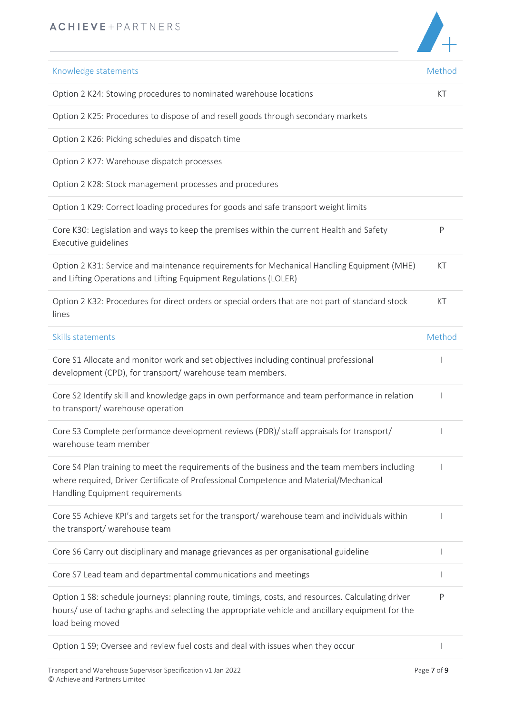

| Knowledge statements                                                                                                                                                                                                      | Method |
|---------------------------------------------------------------------------------------------------------------------------------------------------------------------------------------------------------------------------|--------|
| Option 2 K24: Stowing procedures to nominated warehouse locations                                                                                                                                                         | KT     |
| Option 2 K25: Procedures to dispose of and resell goods through secondary markets                                                                                                                                         |        |
| Option 2 K26: Picking schedules and dispatch time                                                                                                                                                                         |        |
| Option 2 K27: Warehouse dispatch processes                                                                                                                                                                                |        |
| Option 2 K28: Stock management processes and procedures                                                                                                                                                                   |        |
| Option 1 K29: Correct loading procedures for goods and safe transport weight limits                                                                                                                                       |        |
| Core K30: Legislation and ways to keep the premises within the current Health and Safety<br>Executive guidelines                                                                                                          | P      |
| Option 2 K31: Service and maintenance requirements for Mechanical Handling Equipment (MHE)<br>and Lifting Operations and Lifting Equipment Regulations (LOLER)                                                            | КT     |
| Option 2 K32: Procedures for direct orders or special orders that are not part of standard stock<br>lines                                                                                                                 | КT     |
| Skills statements                                                                                                                                                                                                         | Method |
| Core S1 Allocate and monitor work and set objectives including continual professional<br>development (CPD), for transport/ warehouse team members.                                                                        |        |
| Core S2 Identify skill and knowledge gaps in own performance and team performance in relation<br>to transport/ warehouse operation                                                                                        |        |
| Core S3 Complete performance development reviews (PDR)/ staff appraisals for transport/<br>warehouse team member                                                                                                          |        |
| Core S4 Plan training to meet the requirements of the business and the team members including<br>where required, Driver Certificate of Professional Competence and Material/Mechanical<br>Handling Equipment requirements |        |
| Core S5 Achieve KPI's and targets set for the transport/ warehouse team and individuals within<br>the transport/ warehouse team                                                                                           |        |
| Core S6 Carry out disciplinary and manage grievances as per organisational guideline                                                                                                                                      |        |
| Core S7 Lead team and departmental communications and meetings                                                                                                                                                            |        |
| Option 1 S8: schedule journeys: planning route, timings, costs, and resources. Calculating driver<br>hours/ use of tacho graphs and selecting the appropriate vehicle and ancillary equipment for the<br>load being moved | P      |

Option 1 S9; Oversee and review fuel costs and deal with issues when they occur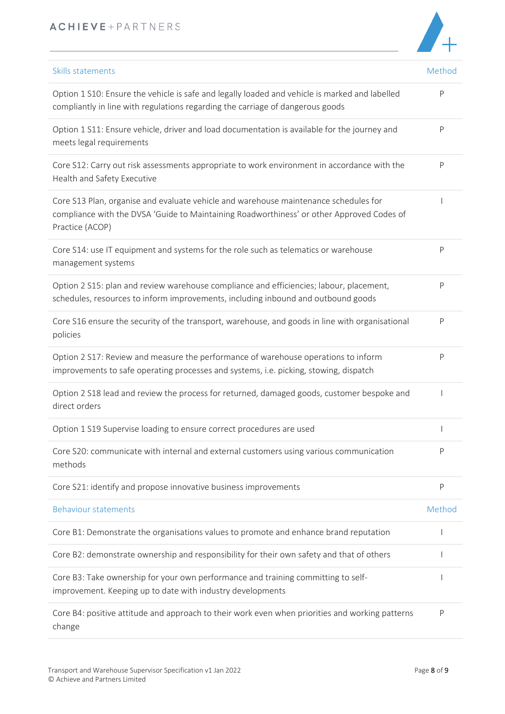# ACHIEVE+PARTNERS



| Skills statements                                                                                                                                                                                    | Method |
|------------------------------------------------------------------------------------------------------------------------------------------------------------------------------------------------------|--------|
| Option 1 S10: Ensure the vehicle is safe and legally loaded and vehicle is marked and labelled<br>compliantly in line with regulations regarding the carriage of dangerous goods                     | P      |
| Option 1 S11: Ensure vehicle, driver and load documentation is available for the journey and<br>meets legal requirements                                                                             | P      |
| Core S12: Carry out risk assessments appropriate to work environment in accordance with the<br>Health and Safety Executive                                                                           | P      |
| Core S13 Plan, organise and evaluate vehicle and warehouse maintenance schedules for<br>compliance with the DVSA 'Guide to Maintaining Roadworthiness' or other Approved Codes of<br>Practice (ACOP) |        |
| Core S14: use IT equipment and systems for the role such as telematics or warehouse<br>management systems                                                                                            | P      |
| Option 2 S15: plan and review warehouse compliance and efficiencies; labour, placement,<br>schedules, resources to inform improvements, including inbound and outbound goods                         | P      |
| Core S16 ensure the security of the transport, warehouse, and goods in line with organisational<br>policies                                                                                          | P      |
| Option 2 S17: Review and measure the performance of warehouse operations to inform<br>improvements to safe operating processes and systems, i.e. picking, stowing, dispatch                          | P      |
| Option 2 S18 lead and review the process for returned, damaged goods, customer bespoke and<br>direct orders                                                                                          |        |
| Option 1 S19 Supervise loading to ensure correct procedures are used                                                                                                                                 |        |
| Core S20: communicate with internal and external customers using various communication<br>methods                                                                                                    | P      |
| Core S21: identify and propose innovative business improvements                                                                                                                                      | P      |
| <b>Behaviour statements</b>                                                                                                                                                                          | Method |
| Core B1: Demonstrate the organisations values to promote and enhance brand reputation                                                                                                                |        |
| Core B2: demonstrate ownership and responsibility for their own safety and that of others                                                                                                            |        |
| Core B3: Take ownership for your own performance and training committing to self-<br>improvement. Keeping up to date with industry developments                                                      |        |
| Core B4: positive attitude and approach to their work even when priorities and working patterns                                                                                                      | P      |

change